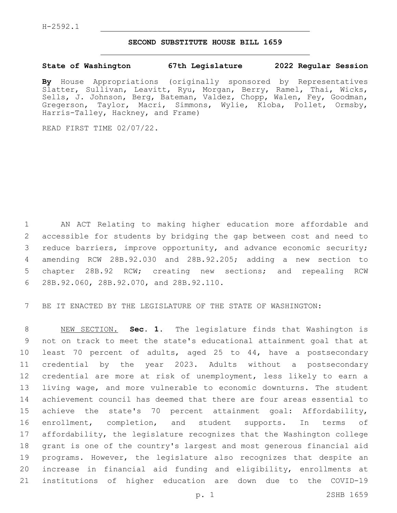## **SECOND SUBSTITUTE HOUSE BILL 1659**

## **State of Washington 67th Legislature 2022 Regular Session**

**By** House Appropriations (originally sponsored by Representatives Slatter, Sullivan, Leavitt, Ryu, Morgan, Berry, Ramel, Thai, Wicks, Sells, J. Johnson, Berg, Bateman, Valdez, Chopp, Walen, Fey, Goodman, Gregerson, Taylor, Macri, Simmons, Wylie, Kloba, Pollet, Ormsby, Harris-Talley, Hackney, and Frame)

READ FIRST TIME 02/07/22.

 AN ACT Relating to making higher education more affordable and accessible for students by bridging the gap between cost and need to reduce barriers, improve opportunity, and advance economic security; amending RCW 28B.92.030 and 28B.92.205; adding a new section to chapter 28B.92 RCW; creating new sections; and repealing RCW 28B.92.060, 28B.92.070, and 28B.92.110.6

BE IT ENACTED BY THE LEGISLATURE OF THE STATE OF WASHINGTON:

 NEW SECTION. **Sec. 1.** The legislature finds that Washington is not on track to meet the state's educational attainment goal that at least 70 percent of adults, aged 25 to 44, have a postsecondary credential by the year 2023. Adults without a postsecondary credential are more at risk of unemployment, less likely to earn a living wage, and more vulnerable to economic downturns. The student achievement council has deemed that there are four areas essential to achieve the state's 70 percent attainment goal: Affordability, enrollment, completion, and student supports. In terms of affordability, the legislature recognizes that the Washington college grant is one of the country's largest and most generous financial aid programs. However, the legislature also recognizes that despite an increase in financial aid funding and eligibility, enrollments at institutions of higher education are down due to the COVID-19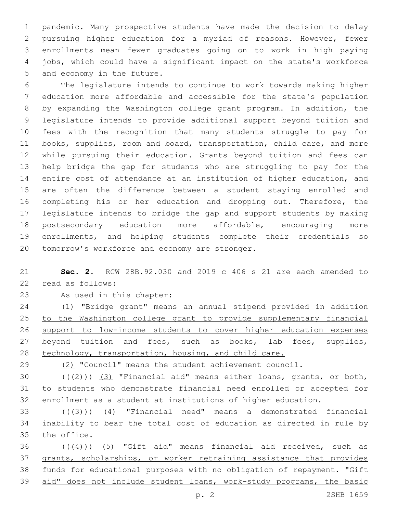pandemic. Many prospective students have made the decision to delay pursuing higher education for a myriad of reasons. However, fewer enrollments mean fewer graduates going on to work in high paying jobs, which could have a significant impact on the state's workforce 5 and economy in the future.

 The legislature intends to continue to work towards making higher education more affordable and accessible for the state's population by expanding the Washington college grant program. In addition, the legislature intends to provide additional support beyond tuition and fees with the recognition that many students struggle to pay for books, supplies, room and board, transportation, child care, and more while pursuing their education. Grants beyond tuition and fees can help bridge the gap for students who are struggling to pay for the entire cost of attendance at an institution of higher education, and are often the difference between a student staying enrolled and 16 completing his or her education and dropping out. Therefore, the legislature intends to bridge the gap and support students by making postsecondary education more affordable, encouraging more enrollments, and helping students complete their credentials so 20 tomorrow's workforce and economy are stronger.

 **Sec. 2.** RCW 28B.92.030 and 2019 c 406 s 21 are each amended to 22 read as follows:

23 As used in this chapter:

 (1) "Bridge grant" means an annual stipend provided in addition to the Washington college grant to provide supplementary financial support to low-income students to cover higher education expenses 27 beyond tuition and fees, such as books, lab fees, supplies, technology, transportation, housing, and child care.

29 (2) "Council" means the student achievement council.

30  $((+2+))$   $(3)$  "Financial aid" means either loans, grants, or both, to students who demonstrate financial need enrolled or accepted for enrollment as a student at institutions of higher education.

33  $((+3+))$   $(4)$  "Financial need" means a demonstrated financial inability to bear the total cost of education as directed in rule by 35 the office.

 (((4))) (5) "Gift aid" means financial aid received, such as grants, scholarships, or worker retraining assistance that provides funds for educational purposes with no obligation of repayment. "Gift aid" does not include student loans, work-study programs, the basic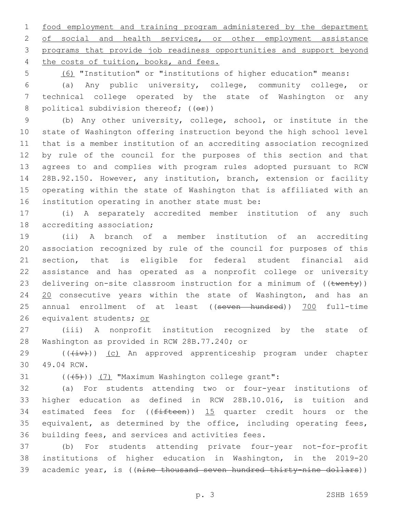1 food employment and training program administered by the department 2 of social and health services, or other employment assistance 3 programs that provide job readiness opportunities and support beyond 4 the costs of tuition, books, and fees.

5 (6) "Institution" or "institutions of higher education" means:

6 (a) Any public university, college, community college, or 7 technical college operated by the state of Washington or any 8 political subdivision thereof;  $((\theta \cdot \hat{r}))$ 

 (b) Any other university, college, school, or institute in the state of Washington offering instruction beyond the high school level that is a member institution of an accrediting association recognized by rule of the council for the purposes of this section and that agrees to and complies with program rules adopted pursuant to RCW 28B.92.150. However, any institution, branch, extension or facility operating within the state of Washington that is affiliated with an 16 institution operating in another state must be:

17 (i) A separately accredited member institution of any such 18 accrediting association;

19 (ii) A branch of a member institution of an accrediting 20 association recognized by rule of the council for purposes of this 21 section, that is eligible for federal student financial aid 22 assistance and has operated as a nonprofit college or university 23 delivering on-site classroom instruction for a minimum of ((twenty)) 24 20 consecutive years within the state of Washington, and has an 25 annual enrollment of at least ((seven hundred)) 700 full-time 26 equivalent students; or

27 (iii) A nonprofit institution recognized by the state of 28 Washington as provided in RCW 28B.77.240; or

29 (( $(iiv)$ ) (c) An approved apprenticeship program under chapter 49.04 RCW.30

31  $((+5+))$   $(7)$  "Maximum Washington college grant":

32 (a) For students attending two or four-year institutions of 33 higher education as defined in RCW 28B.10.016, is tuition and 34 estimated fees for  $((fifteen))$  15 quarter credit hours or the 35 equivalent, as determined by the office, including operating fees, 36 building fees, and services and activities fees.

37 (b) For students attending private four-year not-for-profit 38 institutions of higher education in Washington, in the 2019-20 39 academic year, is ((nine thousand seven hundred thirty-nine dollars))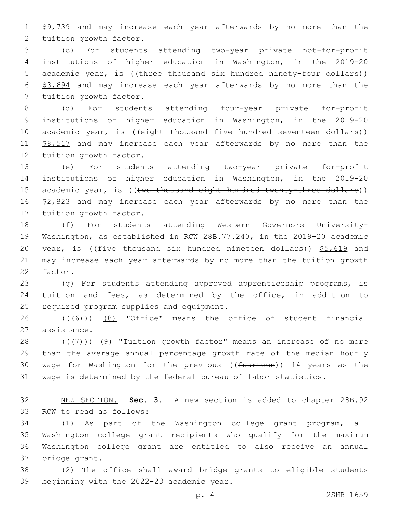1 \$9,739 and may increase each year afterwards by no more than the 2 tuition growth factor.

3 (c) For students attending two-year private not-for-profit 4 institutions of higher education in Washington, in the 2019-20 5 academic year, is ((three thousand six hundred ninety-four dollars)) 6 \$3,694 and may increase each year afterwards by no more than the 7 tuition growth factor.

8 (d) For students attending four-year private for-profit 9 institutions of higher education in Washington, in the 2019-20 10 academic year, is ((eight thousand five hundred seventeen dollars)) 11 \$8,517 and may increase each year afterwards by no more than the 12 tuition growth factor.

13 (e) For students attending two-year private for-profit 14 institutions of higher education in Washington, in the 2019-20 15 academic year, is ((two thousand eight hundred twenty-three dollars)) 16 \$2,823 and may increase each year afterwards by no more than the 17 tuition growth factor.

18 (f) For students attending Western Governors University-19 Washington, as established in RCW 28B.77.240, in the 2019-20 academic 20 year, is (( $f$ ive thousand six hundred nineteen dollars))  $$5,619$  and 21 may increase each year afterwards by no more than the tuition growth 22 factor.

23 (g) For students attending approved apprenticeship programs, is 24 tuition and fees, as determined by the office, in addition to 25 required program supplies and equipment.

26  $((+6+))$   $(8)$  "Office" means the office of student financial 27 assistance.

 $((+7+))$   $(9)$  "Tuition growth factor" means an increase of no more than the average annual percentage growth rate of the median hourly 30 wage for Washington for the previous (( $f$ ourteen))  $14$  years as the wage is determined by the federal bureau of labor statistics.

32 NEW SECTION. **Sec. 3.** A new section is added to chapter 28B.92 33 RCW to read as follows:

 (1) As part of the Washington college grant program, all Washington college grant recipients who qualify for the maximum Washington college grant are entitled to also receive an annual 37 bridge grant.

38 (2) The office shall award bridge grants to eligible students 39 beginning with the 2022-23 academic year.

p. 4 2SHB 1659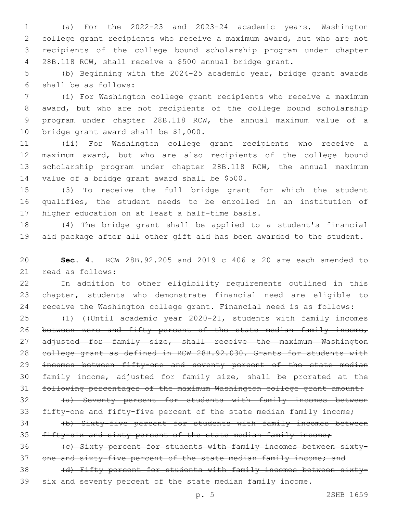(a) For the 2022-23 and 2023-24 academic years, Washington college grant recipients who receive a maximum award, but who are not recipients of the college bound scholarship program under chapter 28B.118 RCW, shall receive a \$500 annual bridge grant.

 (b) Beginning with the 2024-25 academic year, bridge grant awards shall be as follows:6

 (i) For Washington college grant recipients who receive a maximum award, but who are not recipients of the college bound scholarship program under chapter 28B.118 RCW, the annual maximum value of a 10 bridge grant award shall be \$1,000.

 (ii) For Washington college grant recipients who receive a maximum award, but who are also recipients of the college bound scholarship program under chapter 28B.118 RCW, the annual maximum 14 value of a bridge grant award shall be \$500.

 (3) To receive the full bridge grant for which the student qualifies, the student needs to be enrolled in an institution of 17 higher education on at least a half-time basis.

 (4) The bridge grant shall be applied to a student's financial aid package after all other gift aid has been awarded to the student.

 **Sec. 4.** RCW 28B.92.205 and 2019 c 406 s 20 are each amended to 21 read as follows:

 In addition to other eligibility requirements outlined in this chapter, students who demonstrate financial need are eligible to receive the Washington college grant. Financial need is as follows:

 (1) ((Until academic year 2020-21, students with family incomes 26 between zero and fifty percent of the state median family income, 27 adjusted for family size, shall receive the maximum Washington college grant as defined in RCW 28B.92.030. Grants for students with 29 incomes between fifty-one and seventy percent of the state median family income, adjusted for family size, shall be prorated at the following percentages of the maximum Washington college grant amount:

32 (a) Seventy percent for students with family incomes between 33 fifty-one and fifty-five percent of the state median family income;

 (b) Sixty-five percent for students with family incomes between fifty-six and sixty percent of the state median family income;

36 (c) Sixty percent for students with family incomes between sixty-37 one and sixty-five percent of the state median family income; and

38 (d) Fifty percent for students with family incomes between sixty-six and seventy percent of the state median family income.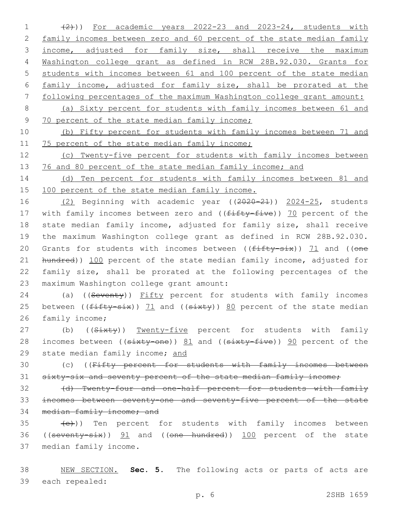(2))) For academic years 2022-23 and 2023-24, students with 2 family incomes between zero and 60 percent of the state median family 3 income, adjusted for family size, shall receive the maximum Washington college grant as defined in RCW 28B.92.030. Grants for students with incomes between 61 and 100 percent of the state median family income, adjusted for family size, shall be prorated at the following percentages of the maximum Washington college grant amount: (a) Sixty percent for students with family incomes between 61 and 9 70 percent of the state median family income;

10 (b) Fifty percent for students with family incomes between 71 and 11 75 percent of the state median family income;

12 (c) Twenty-five percent for students with family incomes between 13 76 and 80 percent of the state median family income; and

14 (d) Ten percent for students with family incomes between 81 and 15 100 percent of the state median family income.

16 (2) Beginning with academic year ((2020-21)) 2024-25, students 17 with family incomes between zero and ((fifty-five)) 70 percent of the 18 state median family income, adjusted for family size, shall receive 19 the maximum Washington college grant as defined in RCW 28B.92.030. 20 Grants for students with incomes between ( $(f$ ifty-six)) 71 and ((one 21 hundred)) 100 percent of the state median family income, adjusted for 22 family size, shall be prorated at the following percentages of the 23 maximum Washington college grant amount:

24 (a) ((Seventy)) Fifty percent for students with family incomes 25 between ( $(f\text{-}f\text{-}g\text{-}g\text{-}g)$ ) 71 and ( $(s\text{-}g\text{-}g\text{-}g)$  and percent of the state median 26 family income;

27 (b) ((Sixty)) Twenty-five percent for students with family 28 incomes between ((sixty-one)) 81 and ((sixty-five)) 90 percent of the 29 state median family income; and

30 (c) ((Fifty percent for students with family incomes between 31 sixty-six and seventy percent of the state median family income;

32 (d) Twenty-four and one-half percent for students with family 33 incomes between seventy-one and seventy-five percent of the state 34 median family income; and

 $\left( \frac{1}{2} \right)$  (e)) Ten percent for students with family incomes between 36 ((seventy-six)) 91 and ((one hundred)) 100 percent of the state 37 median family income.

38 NEW SECTION. **Sec. 5.** The following acts or parts of acts are 39 each repealed: